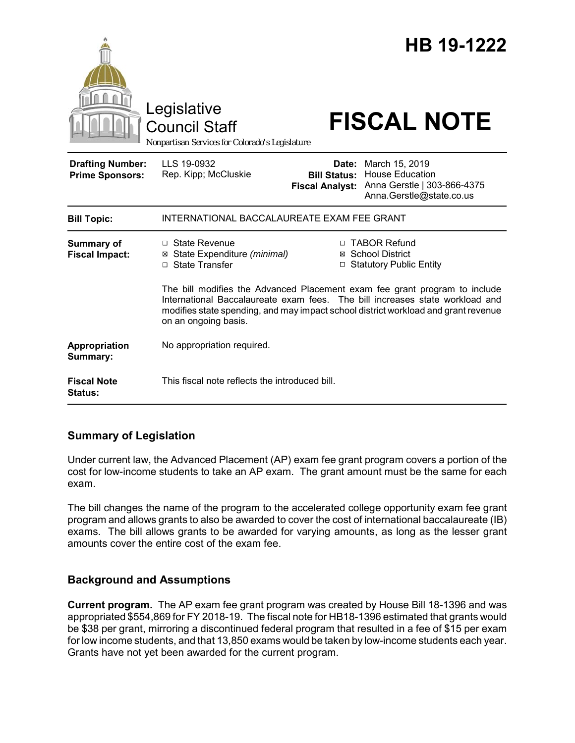|                                                   | Legislative<br><b>Council Staff</b><br>Nonpartisan Services for Colorado's Legislature                                                                                                                                                                                   |                                                        | HB 19-1222<br><b>FISCAL NOTE</b>                                                                    |
|---------------------------------------------------|--------------------------------------------------------------------------------------------------------------------------------------------------------------------------------------------------------------------------------------------------------------------------|--------------------------------------------------------|-----------------------------------------------------------------------------------------------------|
| <b>Drafting Number:</b><br><b>Prime Sponsors:</b> | LLS 19-0932<br>Rep. Kipp; McCluskie                                                                                                                                                                                                                                      | Date:<br><b>Bill Status:</b><br><b>Fiscal Analyst:</b> | March 15, 2019<br><b>House Education</b><br>Anna Gerstle   303-866-4375<br>Anna.Gerstle@state.co.us |
| <b>Bill Topic:</b>                                | INTERNATIONAL BACCALAUREATE EXAM FEE GRANT                                                                                                                                                                                                                               |                                                        |                                                                                                     |
| <b>Summary of</b><br><b>Fiscal Impact:</b>        | □ State Revenue<br>⊠ State Expenditure (minimal)<br>□ State Transfer                                                                                                                                                                                                     |                                                        | □ TABOR Refund<br>⊠ School District<br>□ Statutory Public Entity                                    |
|                                                   | The bill modifies the Advanced Placement exam fee grant program to include<br>International Baccalaureate exam fees. The bill increases state workload and<br>modifies state spending, and may impact school district workload and grant revenue<br>on an ongoing basis. |                                                        |                                                                                                     |
| Appropriation<br>Summary:                         | No appropriation required.                                                                                                                                                                                                                                               |                                                        |                                                                                                     |
| <b>Fiscal Note</b><br><b>Status:</b>              | This fiscal note reflects the introduced bill.                                                                                                                                                                                                                           |                                                        |                                                                                                     |

# **Summary of Legislation**

Under current law, the Advanced Placement (AP) exam fee grant program covers a portion of the cost for low-income students to take an AP exam. The grant amount must be the same for each exam.

The bill changes the name of the program to the accelerated college opportunity exam fee grant program and allows grants to also be awarded to cover the cost of international baccalaureate (IB) exams. The bill allows grants to be awarded for varying amounts, as long as the lesser grant amounts cover the entire cost of the exam fee.

# **Background and Assumptions**

**Current program.** The AP exam fee grant program was created by House Bill 18-1396 and was appropriated \$554,869 for FY 2018-19. The fiscal note for HB18-1396 estimated that grants would be \$38 per grant, mirroring a discontinued federal program that resulted in a fee of \$15 per exam for low income students, and that 13,850 exams would be taken by low-income students each year. Grants have not yet been awarded for the current program.